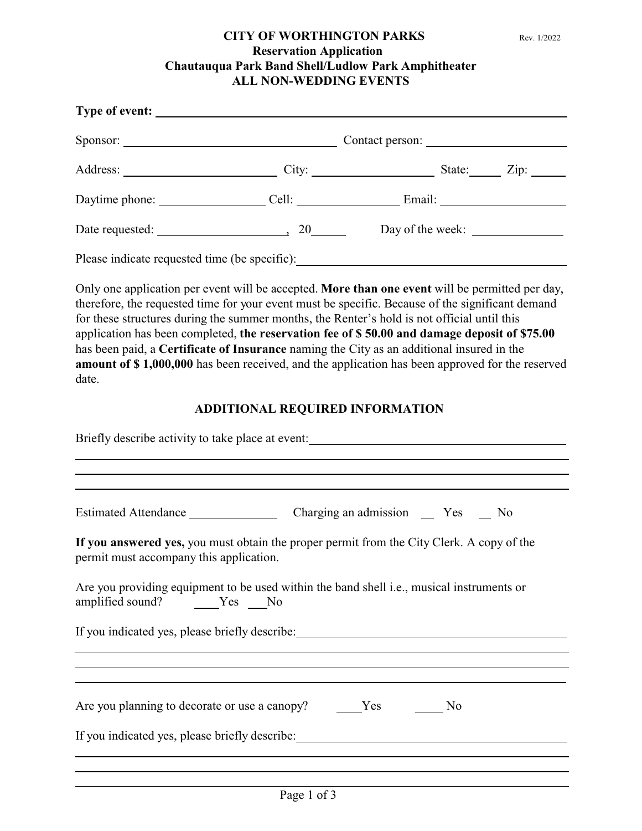## **CITY OF WORTHINGTON PARKS** Rev. 1/2022 **Reservation Application Chautauqua Park Band Shell/Ludlow Park Amphitheater ALL NON-WEDDING EVENTS**

| Type of event:                                |                 |                  |  |
|-----------------------------------------------|-----------------|------------------|--|
| Sponsor:                                      | Contact person: |                  |  |
|                                               |                 | State: Zip:      |  |
| Daytime phone:                                |                 |                  |  |
| Date requested: 20 and 20                     |                 | Day of the week: |  |
| Please indicate requested time (be specific): |                 |                  |  |

Only one application per event will be accepted. **More than one event** will be permitted per day, therefore, the requested time for your event must be specific. Because of the significant demand for these structures during the summer months, the Renter's hold is not official until this application has been completed, **the reservation fee of \$ 50.00 and damage deposit of \$75.00** has been paid, a **Certificate of Insurance** naming the City as an additional insured in the **amount of \$ 1,000,000** has been received, and the application has been approved for the reserved date.

## **ADDITIONAL REQUIRED INFORMATION**

| Briefly describe activity to take place at event: _______________________________ |                                                                                                                       |  |  |  |
|-----------------------------------------------------------------------------------|-----------------------------------------------------------------------------------------------------------------------|--|--|--|
|                                                                                   |                                                                                                                       |  |  |  |
| permit must accompany this application.                                           | If you answered yes, you must obtain the proper permit from the City Clerk. A copy of the                             |  |  |  |
| amplified sound?    Ves ___ No                                                    | Are you providing equipment to be used within the band shell i.e., musical instruments or                             |  |  |  |
|                                                                                   | <u> 1989 - Johann Johann Stoff, deutscher Stoffen und der Stoffen und der Stoffen und der Stoffen und der Stoffen</u> |  |  |  |
|                                                                                   |                                                                                                                       |  |  |  |
|                                                                                   |                                                                                                                       |  |  |  |
|                                                                                   |                                                                                                                       |  |  |  |
|                                                                                   |                                                                                                                       |  |  |  |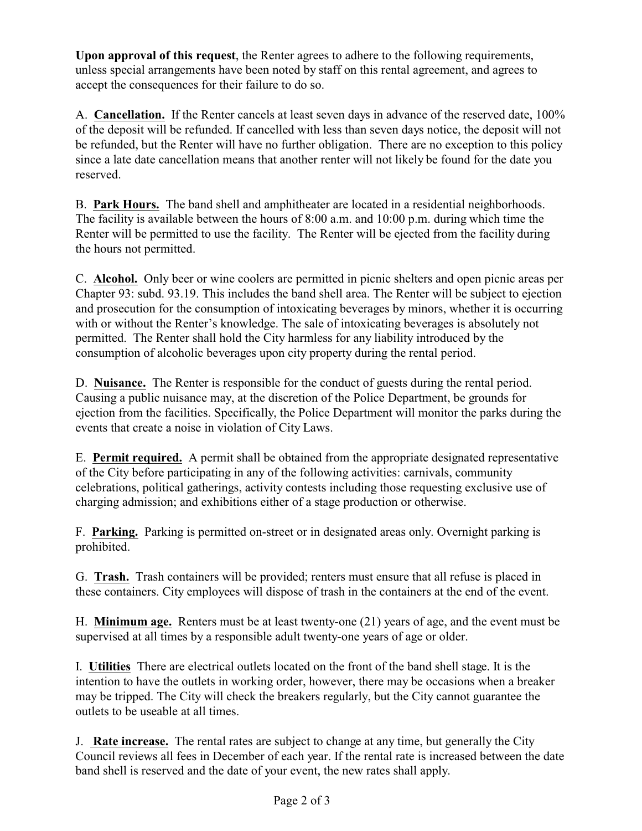**Upon approval of this request**, the Renter agrees to adhere to the following requirements, unless special arrangements have been noted by staff on this rental agreement, and agrees to accept the consequences for their failure to do so.

A. **Cancellation.** If the Renter cancels at least seven days in advance of the reserved date, 100% of the deposit will be refunded. If cancelled with less than seven days notice, the deposit will not be refunded, but the Renter will have no further obligation. There are no exception to this policy since a late date cancellation means that another renter will not likely be found for the date you reserved.

B. **Park Hours.** The band shell and amphitheater are located in a residential neighborhoods. The facility is available between the hours of 8:00 a.m. and 10:00 p.m. during which time the Renter will be permitted to use the facility. The Renter will be ejected from the facility during the hours not permitted.

C. **Alcohol.** Only beer or wine coolers are permitted in picnic shelters and open picnic areas per Chapter 93: subd. 93.19. This includes the band shell area. The Renter will be subject to ejection and prosecution for the consumption of intoxicating beverages by minors, whether it is occurring with or without the Renter's knowledge. The sale of intoxicating beverages is absolutely not permitted. The Renter shall hold the City harmless for any liability introduced by the consumption of alcoholic beverages upon city property during the rental period.

D. **Nuisance.** The Renter is responsible for the conduct of guests during the rental period. Causing a public nuisance may, at the discretion of the Police Department, be grounds for ejection from the facilities. Specifically, the Police Department will monitor the parks during the events that create a noise in violation of City Laws.

E. **Permit required.** A permit shall be obtained from the appropriate designated representative of the City before participating in any of the following activities: carnivals, community celebrations, political gatherings, activity contests including those requesting exclusive use of charging admission; and exhibitions either of a stage production or otherwise.

F. **Parking.** Parking is permitted on-street or in designated areas only. Overnight parking is prohibited.

G. **Trash.** Trash containers will be provided; renters must ensure that all refuse is placed in these containers. City employees will dispose of trash in the containers at the end of the event.

H. **Minimum age.** Renters must be at least twenty-one (21) years of age, and the event must be supervised at all times by a responsible adult twenty-one years of age or older.

I. **Utilities** There are electrical outlets located on the front of the band shell stage. It is the intention to have the outlets in working order, however, there may be occasions when a breaker may be tripped. The City will check the breakers regularly, but the City cannot guarantee the outlets to be useable at all times.

J. **Rate increase.** The rental rates are subject to change at any time, but generally the City Council reviews all fees in December of each year. If the rental rate is increased between the date band shell is reserved and the date of your event, the new rates shall apply.